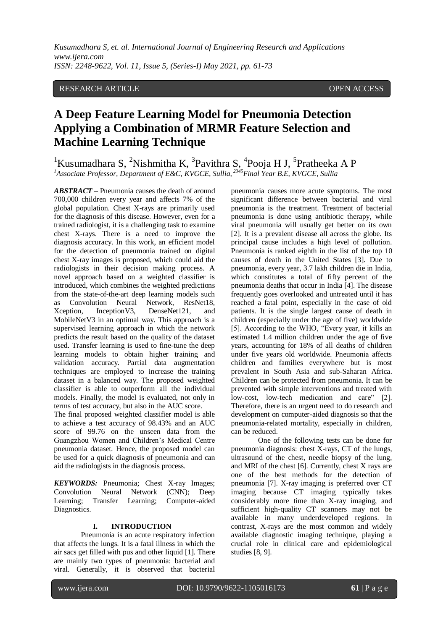# RESEARCH ARTICLE **CONSERVERS** OPEN ACCESS

# **A Deep Feature Learning Model for Pneumonia Detection Applying a Combination of MRMR Feature Selection and Machine Learning Technique**

<sup>1</sup>Kusumadhara S, <sup>2</sup>Nishmitha K, <sup>3</sup>Pavithra S, <sup>4</sup>Pooja H J, <sup>5</sup>Pratheeka A P *<sup>1</sup>Associate Professor, Department of E&C, KVGCE, Sullia, <sup>2345</sup>Final Year B.E, KVGCE, Sullia*

*ABSTRACT* **–** Pneumonia causes the death of around 700,000 children every year and affects 7% of the global population. Chest X-rays are primarily used for the diagnosis of this disease. However, even for a trained radiologist, it is a challenging task to examine chest X-rays. There is a need to improve the diagnosis accuracy. In this work, an efficient model for the detection of pneumonia trained on digital chest X-ray images is proposed, which could aid the radiologists in their decision making process. A novel approach based on a weighted classifier is introduced, which combines the weighted predictions from the state-of-the-art deep learning models such as Convolution Neural Network, ResNet18, Xception, InceptionV3, DenseNet121, and MobileNetV3 in an optimal way. This approach is a supervised learning approach in which the network predicts the result based on the quality of the dataset used. Transfer learning is used to fine-tune the deep learning models to obtain higher training and validation accuracy. Partial data augmentation techniques are employed to increase the training dataset in a balanced way. The proposed weighted classifier is able to outperform all the individual models. Finally, the model is evaluated, not only in terms of test accuracy, but also in the AUC score.

The final proposed weighted classifier model is able to achieve a test accuracy of 98.43% and an AUC score of 99.76 on the unseen data from the Guangzhou Women and Children's Medical Centre pneumonia dataset. Hence, the proposed model can be used for a quick diagnosis of pneumonia and can aid the radiologists in the diagnosis process.

*KEYWORDS:* Pneumonia; Chest X-ray Images; Convolution Neural Network (CNN); Deep Learning; Transfer Learning; Computer-aided Diagnostics.

#### **I. INTRODUCTION**

Pneumonia is an acute respiratory infection that affects the lungs. It is a fatal illness in which the air sacs get filled with pus and other liquid [1]. There are mainly two types of pneumonia: bacterial and viral. Generally, it is observed that bacterial

pneumonia causes more acute symptoms. The most significant difference between bacterial and viral pneumonia is the treatment. Treatment of bacterial pneumonia is done using antibiotic therapy, while viral pneumonia will usually get better on its own [2]. It is a prevalent disease all across the globe. Its principal cause includes a high level of pollution. Pneumonia is ranked eighth in the list of the top 10 causes of death in the United States [3]. Due to pneumonia, every year, 3.7 lakh children die in India, which constitutes a total of fifty percent of the pneumonia deaths that occur in India [4]. The disease frequently goes overlooked and untreated until it has reached a fatal point, especially in the case of old patients. It is the single largest cause of death in children (especially under the age of five) worldwide [5]. According to the WHO, "Every year, it kills an estimated 1.4 million children under the age of five years, accounting for 18% of all deaths of children under five years old worldwide. Pneumonia affects children and families everywhere but is most prevalent in South Asia and sub-Saharan Africa. Children can be protected from pneumonia. It can be prevented with simple interventions and treated with low-cost, low-tech medication and care" [2]. Therefore, there is an urgent need to do research and development on computer-aided diagnosis so that the pneumonia-related mortality, especially in children, can be reduced.

One of the following tests can be done for pneumonia diagnosis: chest X-rays, CT of the lungs, ultrasound of the chest, needle biopsy of the lung, and MRI of the chest [6]. Currently, chest X rays are one of the best methods for the detection of pneumonia [7]. X-ray imaging is preferred over CT imaging because CT imaging typically takes considerably more time than X-ray imaging, and sufficient high-quality CT scanners may not be available in many underdeveloped regions. In contrast, X-rays are the most common and widely available diagnostic imaging technique, playing a crucial role in clinical care and epidemiological studies [8, 9].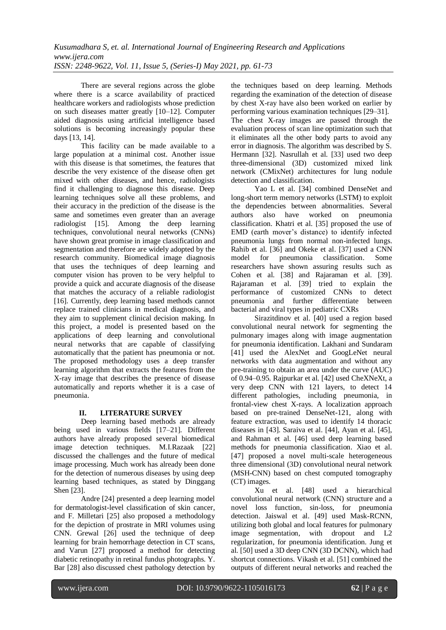There are several regions across the globe where there is a scarce availability of practiced healthcare workers and radiologists whose prediction on such diseases matter greatly [10–12]. Computer aided diagnosis using artificial intelligence based solutions is becoming increasingly popular these days [13, 14].

This facility can be made available to a large population at a minimal cost. Another issue with this disease is that sometimes, the features that describe the very existence of the disease often get mixed with other diseases, and hence, radiologists find it challenging to diagnose this disease. Deep learning techniques solve all these problems, and their accuracy in the prediction of the disease is the same and sometimes even greater than an average radiologist [15]. Among the deep learning techniques, convolutional neural networks (CNNs) have shown great promise in image classification and segmentation and therefore are widely adopted by the research community. Biomedical image diagnosis that uses the techniques of deep learning and computer vision has proven to be very helpful to provide a quick and accurate diagnosis of the disease that matches the accuracy of a reliable radiologist [16]. Currently, deep learning based methods cannot replace trained clinicians in medical diagnosis, and they aim to supplement clinical decision making. In this project, a model is presented based on the applications of deep learning and convolutional neural networks that are capable of classifying automatically that the patient has pneumonia or not. The proposed methodology uses a deep transfer learning algorithm that extracts the features from the X-ray image that describes the presence of disease automatically and reports whether it is a case of pneumonia.

# **II. LITERATURE SURVEY**

Deep learning based methods are already being used in various fields [17–21]. Different authors have already proposed several biomedical image detection techniques. M.I.Razaak [22] discussed the challenges and the future of medical image processing. Much work has already been done for the detection of numerous diseases by using deep learning based techniques, as stated by Dinggang Shen [23].

Andre [24] presented a deep learning model for dermatologist-level classification of skin cancer, and F. Milletari [25] also proposed a methodology for the depiction of prostrate in MRI volumes using CNN. Grewal [26] used the technique of deep learning for brain hemorrhage detection in CT scans, and Varun [27] proposed a method for detecting diabetic retinopathy in retinal fundus photographs. Y. Bar [28] also discussed chest pathology detection by

the techniques based on deep learning. Methods regarding the examination of the detection of disease by chest X-ray have also been worked on earlier by performing various examination techniques [29–31]. The chest X-ray images are passed through the evaluation process of scan line optimization such that it eliminates all the other body parts to avoid any error in diagnosis. The algorithm was described by S. Hermann [32]. Nasrullah et al. [33] used two deep three-dimensional (3D) customized mixed link network (CMixNet) architectures for lung nodule detection and classification.

Yao L et al. [34] combined DenseNet and long-short term memory networks (LSTM) to exploit the dependencies between abnormalities. Several authors also have worked on pneumonia classification. Khatri et al. [35] proposed the use of EMD (earth mover's distance) to identify infected pneumonia lungs from normal non-infected lungs. Rahib et al. [36] and Okeke et al. [37] used a CNN model for pneumonia classification. Some researchers have shown assuring results such as Cohen et al. [38] and Rajaraman et al. [39]. Rajaraman et al. [39] tried to explain the performance of customized CNNs to detect pneumonia and further differentiate between bacterial and viral types in pediatric CXRs

Sirazitdinov et al. [40] used a region based convolutional neural network for segmenting the pulmonary images along with image augmentation for pneumonia identification. Lakhani and Sundaram [41] used the AlexNet and GoogLeNet neural networks with data augmentation and without any pre-training to obtain an area under the curve (AUC) of 0.94–0.95. Rajpurkar et al. [42] used CheXNeXt, a very deep CNN with 121 layers, to detect 14 different pathologies, including pneumonia, in frontal-view chest X-rays. A localization approach based on pre-trained DenseNet-121, along with feature extraction, was used to identify 14 thoracic diseases in [43]. Saraiva et al. [44], Ayan et al. [45], and Rahman et al. [46] used deep learning based methods for pneumonia classification. Xiao et al. [47] proposed a novel multi-scale heterogeneous three dimensional (3D) convolutional neural network (MSH-CNN) based on chest computed tomography (CT) images.

Xu et al. [48] used a hierarchical convolutional neural network (CNN) structure and a novel loss function, sin-loss, for pneumonia detection. Jaiswal et al. [49] used Mask-RCNN, utilizing both global and local features for pulmonary image segmentation, with dropout and L2 regularization, for pneumonia identification. Jung et al. [50] used a 3D deep CNN (3D DCNN), which had shortcut connections. Vikash et al. [51] combined the outputs of different neural networks and reached the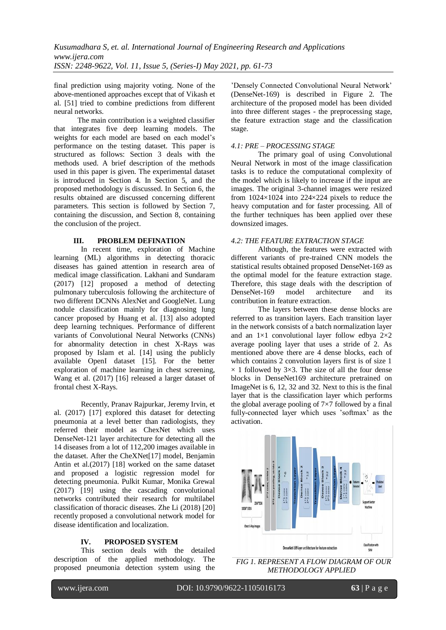final prediction using majority voting. None of the above-mentioned approaches except that of Vikash et al. [51] tried to combine predictions from different neural networks.

The main contribution is a weighted classifier that integrates five deep learning models. The weights for each model are based on each model's performance on the testing dataset. This paper is structured as follows: Section 3 deals with the methods used. A brief description of the methods used in this paper is given. The experimental dataset is introduced in Section 4. In Section 5, and the proposed methodology is discussed. In Section 6, the results obtained are discussed concerning different parameters. This section is followed by Section 7, containing the discussion, and Section 8, containing the conclusion of the project.

#### **III. PROBLEM DEFINATION**

In recent time, exploration of Machine learning (ML) algorithms in detecting thoracic diseases has gained attention in research area of medical image classification. Lakhani and Sundaram (2017) [12] proposed a method of detecting pulmonary tuberculosis following the architecture of two different DCNNs AlexNet and GoogleNet. Lung nodule classification mainly for diagnosing lung cancer proposed by Huang et al. [13] also adopted deep learning techniques. Performance of different variants of Convolutional Neural Networks (CNNs) for abnormality detection in chest X-Rays was proposed by Islam et al. [14] using the publicly available OpenI dataset [15]. For the better exploration of machine learning in chest screening, Wang et al. (2017) [16] released a larger dataset of frontal chest X-Rays.

Recently, Pranav Rajpurkar, Jeremy Irvin, et al. (2017) [17] explored this dataset for detecting pneumonia at a level better than radiologists, they referred their model as ChexNet which uses DenseNet-121 layer architecture for detecting all the 14 diseases from a lot of 112,200 images available in the dataset. After the CheXNet[17] model, Benjamin Antin et al.(2017) [18] worked on the same dataset and proposed a logistic regression model for detecting pneumonia. Pulkit Kumar, Monika Grewal (2017) [19] using the cascading convolutional networks contributed their research for multilabel classification of thoracic diseases. Zhe Li (2018) [20] recently proposed a convolutional network model for disease identification and localization.

#### **IV. PROPOSED SYSTEM**

This section deals with the detailed description of the applied methodology. The proposed pneumonia detection system using the

'Densely Connected Convolutional Neural Network' (DenseNet-169) is described in Figure 2. The architecture of the proposed model has been divided into three different stages - the preprocessing stage, the feature extraction stage and the classification stage.

#### *4.1: PRE – PROCESSING STAGE*

The primary goal of using Convolutional Neural Network in most of the image classification tasks is to reduce the computational complexity of the model which is likely to increase if the input are images. The original 3-channel images were resized from 1024×1024 into 224×224 pixels to reduce the heavy computation and for faster processing. All of the further techniques has been applied over these downsized images.

### *4.2: THE FEATURE EXTRACTION STAGE*

Although, the features were extracted with different variants of pre-trained CNN models the statistical results obtained proposed DenseNet-169 as the optimal model for the feature extraction stage. Therefore, this stage deals with the description of DenseNet-169 model architecture and its contribution in feature extraction.

The layers between these dense blocks are referred to as transition layers. Each transition layer in the network consists of a batch normalization layer and an  $1\times1$  convolutional layer follow edbya  $2\times2$ average pooling layer that uses a stride of 2. As mentioned above there are 4 dense blocks, each of which contains 2 convolution layers first is of size 1  $\times$  1 followed by 3 $\times$ 3. The size of all the four dense blocks in DenseNet169 architecture pretrained on ImageNet is 6, 12, 32 and 32. Next to this is the final layer that is the classification layer which performs the global average pooling of  $7\times7$  followed by a final fully-connected layer which uses 'softmax' as the activation.



 *FIG 1. REPRESENT A FLOW DIAGRAM OF OUR METHODOLOGY APPLIED*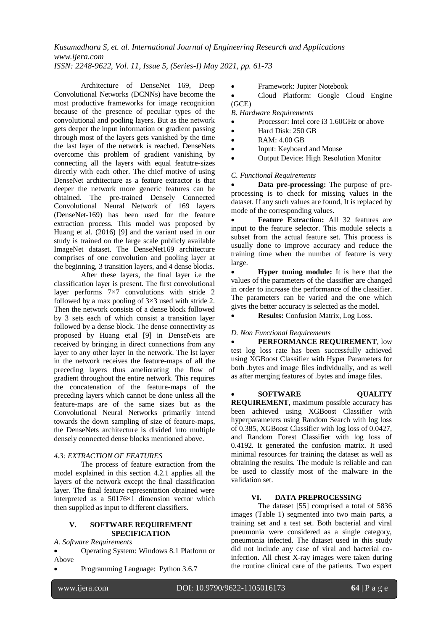Architecture of DenseNet 169, Deep Convolutional Networks (DCNNs) have become the most productive frameworks for image recognition because of the presence of peculiar types of the convolutional and pooling layers. But as the network gets deeper the input information or gradient passing through most of the layers gets vanished by the time the last layer of the network is reached. DenseNets overcome this problem of gradient vanishing by connecting all the layers with equal featutre-sizes directly with each other. The chief motive of using DenseNet architecture as a feature extractor is that deeper the network more generic features can be obtained. The pre-trained Densely Connected Convolutional Neural Network of 169 layers (DenseNet-169) has been used for the feature extraction process. This model was proposed by Huang et al. (2016) [9] and the variant used in our study is trained on the large scale publicly available ImageNet dataset. The DenseNet169 architecture comprises of one convolution and pooling layer at the beginning, 3 transition layers, and 4 dense blocks.

After these layers, the final layer i.e the classification layer is present. The first convolutional layer performs  $7\times7$  convolutions with stride 2 followed by a max pooling of  $3\times3$  used with stride 2. Then the network consists of a dense block followed by 3 sets each of which consist a transition layer followed by a dense block. The dense connectivity as proposed by Huang et.al [9] in DenseNets are received by bringing in direct connections from any layer to any other layer in the network. The lst layer in the network receives the feature-maps of all the preceding layers thus ameliorating the flow of gradient throughout the entire network. This requires the concatenation of the feature-maps of the preceding layers which cannot be done unless all the feature-maps are of the same sizes but as the Convolutional Neural Networks primarily intend towards the down sampling of size of feature-maps, the DenseNets architecture is divided into multiple densely connected dense blocks mentioned above.

### *4.3: EXTRACTION OF FEATURES*

The process of feature extraction from the model explained in this section 4.2.1 applies all the layers of the network except the final classification layer. The final feature representation obtained were interpreted as a 50176×1 dimension vector which then supplied as input to different classifiers.

#### **V. SOFTWARE REQUIREMENT SPECIFICATION**

*A. Software Requirements*

- Operating System: Windows 8.1 Platform or Above
- Programming Language: Python 3.6.7

Framework: Jupiter Notebook

• Cloud Platform: Google Cloud Engine (GCE)

*B. Hardware Requirements*

- Processor: Intel core i3 1.60GHz or above
- Hard Disk: 250 GB
- RAM: 4.00 GB
- Input: Keyboard and Mouse
- Output Device: High Resolution Monitor

#### *C. Functional Requirements*

 **Data pre-processing:** The purpose of preprocessing is to check for missing values in the dataset. If any such values are found, It is replaced by mode of the corresponding values.

 **Feature Extraction:** All 32 features are input to the feature selector. This module selects a subset from the actual feature set. This process is usually done to improve accuracy and reduce the training time when the number of feature is very large.

 **Hyper tuning module:** It is here that the values of the parameters of the classifier are changed in order to increase the performance of the classifier. The parameters can be varied and the one which gives the better accuracy is selected as the model.

**Results:** Confusion Matrix, Log Loss.

#### *D. Non Functional Requirements*

 **PERFORMANCE REQUIREMENT**, low test log loss rate has been successfully achieved using XGBoost Classifier with Hyper Parameters for both .bytes and image files individually, and as well as after merging features of .bytes and image files.

#### **SOFTWARE QUALITY**

**REQUIREMENT**, maximum possible accuracy has been achieved using XGBoost Classifier with hyperparameters using Random Search with log loss of 0.385, XGBoost Classifier with log loss of 0.0427, and Random Forest Classifier with log loss of 0.4192. It generated the confusion matrix. It used minimal resources for training the dataset as well as obtaining the results. The module is reliable and can be used to classify most of the malware in the validation set.

# **VI. DATA PREPROCESSING**

The dataset [55] comprised a total of 5836 images (Table 1) segmented into two main parts, a training set and a test set. Both bacterial and viral pneumonia were considered as a single category, pneumonia infected. The dataset used in this study did not include any case of viral and bacterial coinfection. All chest X-ray images were taken during the routine clinical care of the patients. Two expert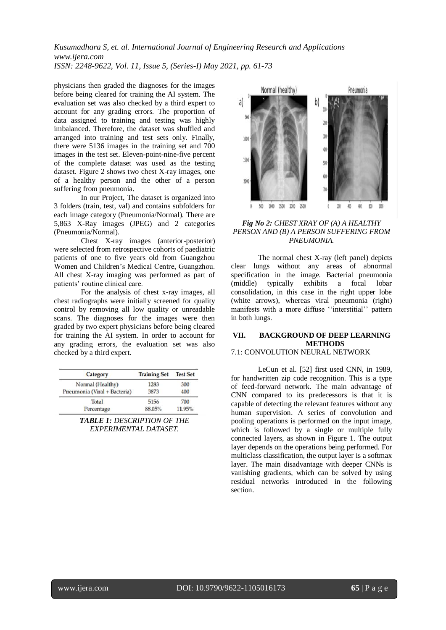physicians then graded the diagnoses for the images before being cleared for training the AI system. The evaluation set was also checked by a third expert to account for any grading errors. The proportion of data assigned to training and testing was highly imbalanced. Therefore, the dataset was shuffled and arranged into training and test sets only. Finally, there were 5136 images in the training set and 700 images in the test set. Eleven-point-nine-five percent of the complete dataset was used as the testing dataset. Figure 2 shows two chest X-ray images, one of a healthy person and the other of a person suffering from pneumonia.

In our Project, The dataset is organized into 3 folders (train, test, val) and contains subfolders for each image category (Pneumonia/Normal). There are 5,863 X-Ray images (JPEG) and 2 categories (Pneumonia/Normal).

Chest X-ray images (anterior-posterior) were selected from retrospective cohorts of paediatric patients of one to five years old from Guangzhou Women and Children's Medical Centre, Guangzhou. All chest X-ray imaging was performed as part of patients' routine clinical care.

For the analysis of chest x-ray images, all chest radiographs were initially screened for quality control by removing all low quality or unreadable scans. The diagnoses for the images were then graded by two expert physicians before being cleared for training the AI system. In order to account for any grading errors, the evaluation set was also checked by a third expert.

| Category                     | <b>Training Set</b> | <b>Test Set</b> |  |
|------------------------------|---------------------|-----------------|--|
| Normal (Healthy)             | 1283                | 300             |  |
| Pneumonia (Viral + Bacteria) | 3873                | 400             |  |
| Total                        | 5156                | 700             |  |
| Percentage                   | 88.05%              | 11.95%          |  |

*TABLE 1: DESCRIPTION OF THE EXPERIMENTAL DATASET.*



*Fig No 2: CHEST XRAY OF (A) A HEALTHY PERSON AND (B) A PERSON SUFFERING FROM PNEUMONIA.*

The normal chest X-ray (left panel) depicts clear lungs without any areas of abnormal specification in the image. Bacterial pneumonia (middle) typically exhibits a focal lobar consolidation, in this case in the right upper lobe (white arrows), whereas viral pneumonia (right) manifests with a more diffuse ''interstitial'' pattern in both lungs.

# **VII. BACKGROUND OF DEEP LEARNING METHODS**

# 7.1: CONVOLUTION NEURAL NETWORK

LeCun et al. [52] first used CNN, in 1989, for handwritten zip code recognition. This is a type of feed-forward network. The main advantage of CNN compared to its predecessors is that it is capable of detecting the relevant features without any human supervision. A series of convolution and pooling operations is performed on the input image, which is followed by a single or multiple fully connected layers, as shown in Figure 1. The output layer depends on the operations being performed. For multiclass classification, the output layer is a softmax layer. The main disadvantage with deeper CNNs is vanishing gradients, which can be solved by using residual networks introduced in the following section.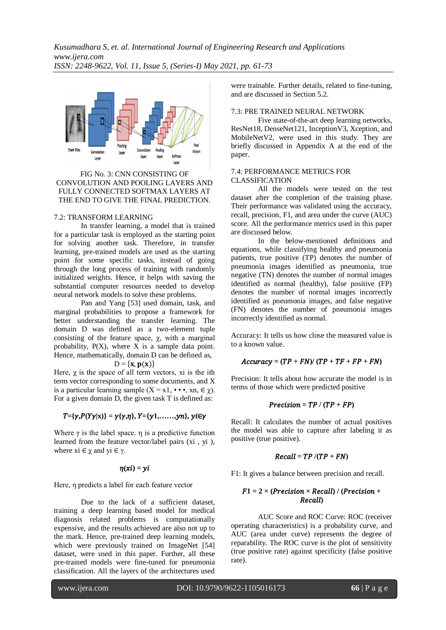

FIG No. 3: CNN CONSISTING OF CONVOLUTION AND POOLING LAYERS AND FULLY CONNECTED SOFTMAX LAYERS AT THE END TO GIVE THE FINAL PREDICTION.

#### 7.2: TRANSFORM LEARNING

In transfer learning, a model that is trained for a particular task is employed as the starting point for solving another task. Therefore, in transfer learning, pre-trained models are used as the starting point for some specific tasks, instead of going through the long process of training with randomly initialized weights. Hence, it helps with saving the substantial computer resources needed to develop neural network models to solve these problems.

Pan and Yang [53] used domain, task, and marginal probabilities to propose a framework for better understanding the transfer learning. The domain D was defined as a two-element tuple consisting of the feature space,  $\gamma$ , with a marginal probability, P(X), where X is a sample data point. Hence, mathematically, domain D can be defined as,

 $D = \{x, p(x)\}\$ 

Here,  $\chi$  is the space of all term vectors, xi is the ith term vector corresponding to some documents, and X is a particular learning sample  $(X = x1, \cdots, xn, \in \gamma)$ . For a given domain D, the given task T is defined as:

$$
T=\{\gamma,P(Y\gamma|\mathbf{x})\}=\gamma\{\gamma,\eta\},Y=\{y1,\ldots,yn\},\ y\in\gamma
$$

Where  $\gamma$  is the label space.  $\eta$  is a predictive function learned from the feature vector/label pairs (xi , yi ), where  $xi \in \gamma$  and  $yi \in \gamma$ .

#### $\eta(xi) = yi$

Here, η predicts a label for each feature vector

Due to the lack of a sufficient dataset, training a deep learning based model for medical diagnosis related problems is computationally expensive, and the results achieved are also not up to the mark. Hence, pre-trained deep learning models, which were previously trained on ImageNet [54] dataset, were used in this paper. Further, all these pre-trained models were fine-tuned for pneumonia classification. All the layers of the architectures used

were trainable. Further details, related to fine-tuning, and are discussed in Section 5.2.

#### 7.3: PRE TRAINED NEURAL NETWORK

Five state-of-the-art deep learning networks, ResNet18, DenseNet121, InceptionV3, Xception, and MobileNetV2, were used in this study. They are briefly discussed in Appendix A at the end of the paper.

#### 7.4: PERFORMANCE METRICS FOR CLASSIFICATION

All the models were tested on the test dataset after the completion of the training phase. Their performance was validated using the accuracy, recall, precision, F1, and area under the curve (AUC) score. All the performance metrics used in this paper are discussed below.

In the below-mentioned definitions and equations, while classifying healthy and pneumonia patients, true positive (TP) denotes the number of pneumonia images identified as pneumonia, true negative (TN) denotes the number of normal images identified as normal (healthy), false positive (FP) denotes the number of normal images incorrectly identified as pneumonia images, and false negative (FN) denotes the number of pneumonia images incorrectly identified as normal.

Accuracy: It tells us how close the measured value is to a known value.

$$
Accuracy = (TP + FN)/(TP + TF + FP + FN)
$$

Precision: It tells about how accurate the model is in terms of those which were predicted positive

$$
Precision = TP / (TP + FP)
$$

Recall: It calculates the number of actual positives the model was able to capture after labeling it as positive (true positive).

$$
Recall = TP/(TP + FN)
$$

F1: It gives a balance between precision and recall.

### $F1 = 2 \times (Precision \times Recall) / (Precision +$ **)**

AUC Score and ROC Curve: ROC (receiver operating characteristics) is a probability curve, and AUC (area under curve) represents the degree of reparability. The ROC curve is the plot of sensitivity (true positive rate) against specificity (false positive rate).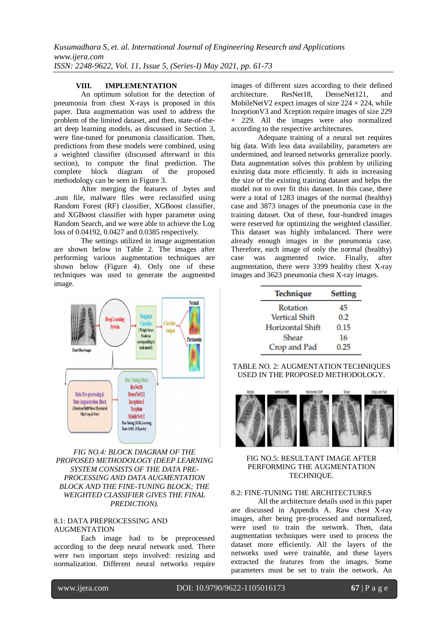#### **VIII. IMPLEMENTATION**

An optimum solution for the detection of pneumonia from chest X-rays is proposed in this paper. Data augmentation was used to address the problem of the limited dataset, and then, state-of-theart deep learning models, as discussed in Section 3, were fine-tuned for pneumonia classification. Then, predictions from these models were combined, using a weighted classifier (discussed afterward in this section), to compute the final prediction. The complete block diagram of the proposed methodology can be seen in Figure 3.

After merging the features of .bytes and .asm file, malware files were reclassified using Random Forest (RF) classifier, XGBoost classifier, and XGBoost classifier with hyper parameter using Random Search, and we were able to achieve the Log loss of 0.04192, 0.0427 and 0.0385 respectively.

The settings utilized in image augmentation are shown below in Table 2. The images after performing various augmentation techniques are shown below (Figure 4). Only one of these techniques was used to generate the augmented image.



*FIG NO.4: BLOCK DIAGRAM OF THE PROPOSED METHODOLOGY (DEEP LEARNING SYSTEM CONSISTS OF THE DATA PRE-PROCESSING AND DATA AUGMENTATION BLOCK AND THE FINE-TUNING BLOCK; THE WEIGHTED CLASSIFIER GIVES THE FINAL PREDICTION).*

### 8.1: DATA PREPROCESSING AND AUGMENTATION

Each image had to be preprocessed according to the deep neural network used. There were two important steps involved: resizing and normalization. Different neural networks require

images of different sizes according to their defined architecture. ResNet18, DenseNet121, and MobileNetV2 expect images of size  $224 \times 224$ , while InceptionV3 and Xception require images of size 229  $\times$  229. All the images were also normalized according to the respective architectures.

Adequate training of a neural net requires big data. With less data availability, parameters are undermined, and learned networks generalize poorly. Data augmentation solves this problem by utilizing existing data more efficiently. It aids in increasing the size of the existing training dataset and helps the model not to over fit this dataset. In this case, there were a total of 1283 images of the normal (healthy) case and 3873 images of the pneumonia case in the training dataset. Out of these, four-hundred images were reserved for optimizing the weighted classifier. This dataset was highly imbalanced. There were already enough images in the pneumonia case. Therefore, each image of only the normal (healthy) case was augmented twice. Finally, after augmentation, there were 3399 healthy chest X-ray images and 3623 pneumonia chest X-ray images.

| Technique               | <b>Setting</b> |
|-------------------------|----------------|
| Rotation                | 45             |
| <b>Vertical Shift</b>   | 0.2            |
| <b>Horizontal Shift</b> | 0.15           |
| Shear                   | 16             |
| Crop and Pad            | 0.25           |

TABLE NO. 2: AUGMENTATION TECHNIQUES USED IN THE PROPOSED METHODOLOGY.



FIG NO.5: RESULTANT IMAGE AFTER PERFORMING THE AUGMENTATION TECHNIQUE.

#### 8.2: FINE-TUNING THE ARCHITECTURES

All the architecture details used in this paper are discussed in Appendix A. Raw chest X-ray images, after being pre-processed and normalized, were used to train the network. Then, data augmentation techniques were used to process the dataset more efficiently. All the layers of the networks used were trainable, and these layers extracted the features from the images. Some parameters must be set to train the network. An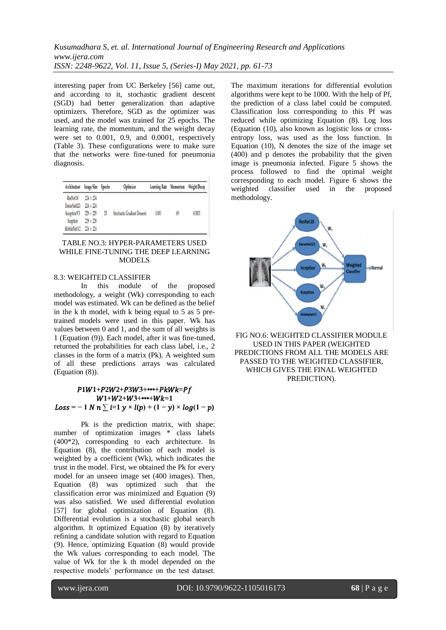interesting paper from UC Berkeley [56] came out, and according to it, stochastic gradient descent (SGD) had better generalization than adaptive optimizers. Therefore, SGD as the optimizer was used, and the model was trained for 25 epochs. The learning rate, the momentum, and the weight decay were set to 0.001, 0.9, and 0.0001, respectively (Table 3). These configurations were to make sure that the networks were fine-tuned for pneumonia diagnosis.

| Architecture    | <b>Image Size</b> | <b>Epochs</b> | Optimizer                          | <b>Learning Rate</b> | <b>Momentum</b> | <b>Weight Decay</b> |
|-----------------|-------------------|---------------|------------------------------------|----------------------|-----------------|---------------------|
| ResNet18        | 224 × 224         |               |                                    |                      |                 |                     |
| DenseNet121     | 224 × 224         |               |                                    |                      |                 |                     |
| InceptionV3     | 229 × 229         | 25            | <b>Stochastic Gradient Descent</b> | 0.001                | 0.9             | 0.0001              |
| <b>Xception</b> | 229 × 229         |               |                                    |                      |                 |                     |
| MobileNetV2     | 224 × 224         |               |                                    |                      |                 |                     |

#### TABLE NO.3: HYPER-PARAMETERS USED WHILE FINE-TUNING THE DEEP LEARNING MODELS

#### 8.3: WEIGHTED CLASSIFIER

In this module of the proposed methodology, a weight (Wk) corresponding to each model was estimated. Wk can be defined as the belief in the k th model, with k being equal to 5 as 5 pretrained models were used in this paper. Wk has values between 0 and 1, and the sum of all weights is 1 (Equation (9)). Each model, after it was fine-tuned, returned the probabilities for each class label, i.e., 2 classes in the form of a matrix (Pk). A weighted sum of all these predictions arrays was calculated (Equation (8)).

#### *P1W1+P2W2+P3W3+***•••+***PkWk=Pf*  $W1+W2+W3$ +•••+ $Wk=1$  $Loss = -1 N n \sum i=1 y \times l(p) + (1 - y) \times log(1 - p)$

Pk is the prediction matrix, with shape: number of optimization images \* class labels (400\*2), corresponding to each architecture. In Equation (8), the contribution of each model is weighted by a coefficient (Wk), which indicates the trust in the model. First, we obtained the Pk for every model for an unseen image set (400 images). Then, Equation (8) was optimized such that the classification error was minimized and Equation (9) was also satisfied. We used differential evolution [57] for global optimization of Equation (8). Differential evolution is a stochastic global search algorithm. It optimized Equation (8) by iteratively refining a candidate solution with regard to Equation (9). Hence, optimizing Equation (8) would provide the Wk values corresponding to each model. The value of Wk for the k th model depended on the respective models' performance on the test dataset.

The maximum iterations for differential evolution algorithms were kept to be 1000. With the help of Pf, the prediction of a class label could be computed. Classification loss corresponding to this Pf was reduced while optimizing Equation (8). Log loss (Equation (10), also known as logistic loss or crossentropy loss, was used as the loss function. In Equation  $(10)$ , N denotes the size of the image set (400) and p denotes the probability that the given image is pneumonia infected. Figure 5 shows the process followed to find the optimal weight corresponding to each model. Figure 6 shows the weighted classifier used in the proposed methodology.



FIG NO.6: WEIGHTED CLASSIFIER MODULE USED IN THIS PAPER (WEIGHTED PREDICTIONS FROM ALL THE MODELS ARE PASSED TO THE WEIGHTED CLASSIFIER, WHICH GIVES THE FINAL WEIGHTED PREDICTION).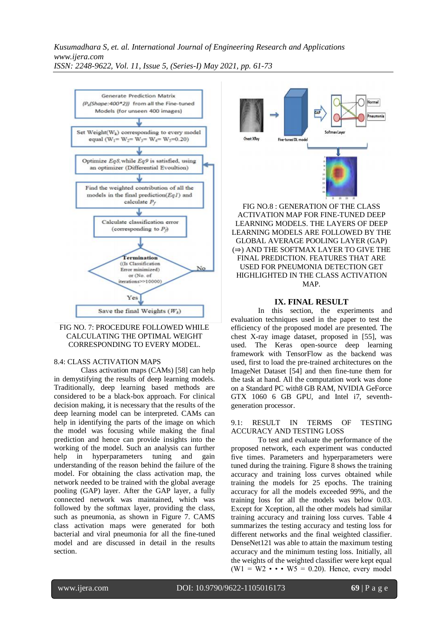

#### FIG NO. 7: PROCEDURE FOLLOWED WHILE CALCULATING THE OPTIMAL WEIGHT CORRESPONDING TO EVERY MODEL.

### 8.4: CLASS ACTIVATION MAPS

Class activation maps (CAMs) [58] can help in demystifying the results of deep learning models. Traditionally, deep learning based methods are considered to be a black-box approach. For clinical decision making, it is necessary that the results of the deep learning model can be interpreted. CAMs can help in identifying the parts of the image on which the model was focusing while making the final prediction and hence can provide insights into the working of the model. Such an analysis can further help in hyperparameters tuning and gain understanding of the reason behind the failure of the model. For obtaining the class activation map, the network needed to be trained with the global average pooling (GAP) layer. After the GAP layer, a fully connected network was maintained, which was followed by the softmax layer, providing the class, such as pneumonia, as shown in Figure 7. CAMS class activation maps were generated for both bacterial and viral pneumonia for all the fine-tuned model and are discussed in detail in the results section.



ACTIVATION MAP FOR FINE-TUNED DEEP LEARNING MODELS. THE LAYERS OF DEEP LEARNING MODELS ARE FOLLOWED BY THE GLOBAL AVERAGE POOLING LAYER (GAP) (⇒) AND THE SOFTMAX LAYER TO GIVE THE FINAL PREDICTION. FEATURES THAT ARE USED FOR PNEUMONIA DETECTION GET HIGHLIGHTED IN THE CLASS ACTIVATION MAP.

### **IX. FINAL RESULT**

In this section, the experiments and evaluation techniques used in the paper to test the efficiency of the proposed model are presented. The chest X-ray image dataset, proposed in [55], was used. The Keras open-source deep learning framework with TensorFlow as the backend was used, first to load the pre-trained architectures on the ImageNet Dataset [54] and then fine-tune them for the task at hand. All the computation work was done on a Standard PC with8 GB RAM, NVIDIA GeForce GTX 1060 6 GB GPU, and Intel i7, seventhgeneration processor.

9.1: RESULT IN TERMS OF TESTING ACCURACY AND TESTING LOSS

To test and evaluate the performance of the proposed network, each experiment was conducted five times. Parameters and hyperparameters were tuned during the training. Figure 8 shows the training accuracy and training loss curves obtained while training the models for 25 epochs. The training accuracy for all the models exceeded 99%, and the training loss for all the models was below 0.03. Except for Xception, all the other models had similar training accuracy and training loss curves. Table 4 summarizes the testing accuracy and testing loss for different networks and the final weighted classifier. DenseNet121 was able to attain the maximum testing accuracy and the minimum testing loss. Initially, all the weights of the weighted classifier were kept equal  $(W1 = W2 \cdot \cdot \cdot W5 = 0.20)$ . Hence, every model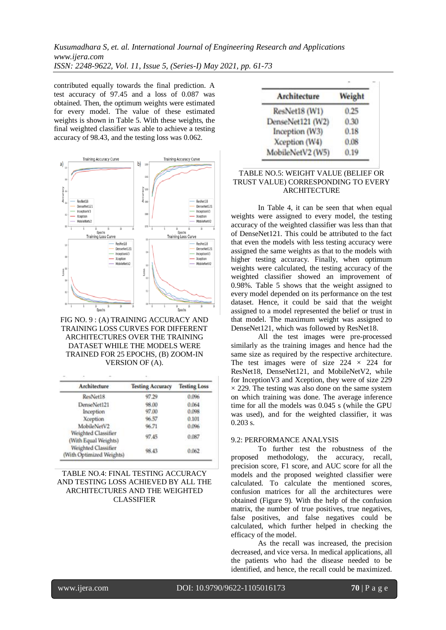contributed equally towards the final prediction. A test accuracy of 97.45 and a loss of 0.087 was obtained. Then, the optimum weights were estimated for every model. The value of these estimated weights is shown in Table 5. With these weights, the final weighted classifier was able to achieve a testing accuracy of 98.43, and the testing loss was 0.062.



FIG NO. 9 : (A) TRAINING ACCURACY AND TRAINING LOSS CURVES FOR DIFFERENT ARCHITECTURES OVER THE TRAINING DATASET WHILE THE MODELS WERE TRAINED FOR 25 EPOCHS, (B) ZOOM-IN VERSION OF (A).

| Architecture                                    | <b>Testing Accuracy</b> | <b>Testing Loss</b> |
|-------------------------------------------------|-------------------------|---------------------|
| ResNet18                                        | 97.29                   | 0.096               |
| DenseNet121                                     | 98.00                   | 0.064               |
| Inception                                       | 97.00                   | 0.098               |
| Xception                                        | 96.57                   | 0.101               |
| MobileNetV2                                     | 96.71                   | 0.096               |
| Weighted Classifier<br>(With Equal Weights)     | 97.45                   | 0.087               |
| Weighted Classifier<br>(With Optimized Weights) | 98.43                   | 0.062               |

#### TABLE NO.4: FINAL TESTING ACCURACY AND TESTING LOSS ACHIEVED BY ALL THE ARCHITECTURES AND THE WEIGHTED CLASSIFIER

| Architecture     | Weight |
|------------------|--------|
| ResNet18 (W1)    | 0.25   |
| DenseNet121 (W2) | 0.30   |
| Inception (W3)   | 0.18   |
| Xception (W4)    | 0.08   |
| MobileNetV2 (W5) | 0.19   |

#### TABLE NO.5: WEIGHT VALUE (BELIEF OR TRUST VALUE) CORRESPONDING TO EVERY **ARCHITECTURE**

In Table 4, it can be seen that when equal weights were assigned to every model, the testing accuracy of the weighted classifier was less than that of DenseNet121. This could be attributed to the fact that even the models with less testing accuracy were assigned the same weights as that to the models with higher testing accuracy. Finally, when optimum weights were calculated, the testing accuracy of the weighted classifier showed an improvement of 0.98%. Table 5 shows that the weight assigned to every model depended on its performance on the test dataset. Hence, it could be said that the weight assigned to a model represented the belief or trust in that model. The maximum weight was assigned to DenseNet121, which was followed by ResNet18.

All the test images were pre-processed similarly as the training images and hence had the same size as required by the respective architecture. The test images were of size  $224 \times 224$  for ResNet18, DenseNet121, and MobileNetV2, while for InceptionV3 and Xception, they were of size 229  $\times$  229. The testing was also done on the same system on which training was done. The average inference time for all the models was 0.045 s (while the GPU was used), and for the weighted classifier, it was 0.203 s.

#### 9.2: PERFORMANCE ANALYSIS

To further test the robustness of the proposed methodology, the accuracy, recall, precision score, F1 score, and AUC score for all the models and the proposed weighted classifier were calculated. To calculate the mentioned scores, confusion matrices for all the architectures were obtained (Figure 9). With the help of the confusion matrix, the number of true positives, true negatives, false positives, and false negatives could be calculated, which further helped in checking the efficacy of the model.

As the recall was increased, the precision decreased, and vice versa. In medical applications, all the patients who had the disease needed to be identified, and hence, the recall could be maximized.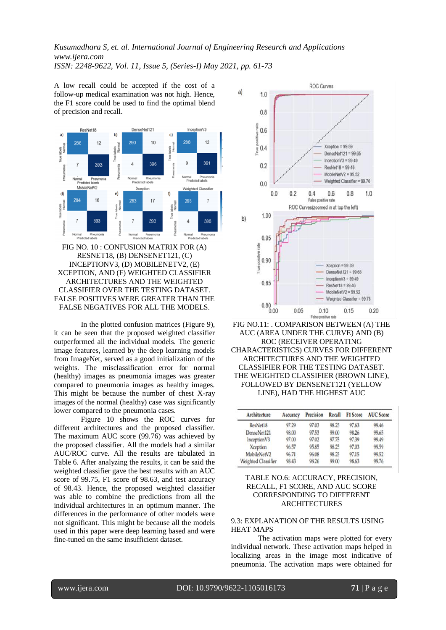A low recall could be accepted if the cost of a follow-up medical examination was not high. Hence, the F1 score could be used to find the optimal blend of precision and recall.



RESNET18, (B) DENSENET121, (C) INCEPTIONV3, (D) MOBILENETV2, (E) XCEPTION, AND (F) WEIGHTED CLASSIFIER ARCHITECTURES AND THE WEIGHTED CLASSIFIER OVER THE TESTING DATASET. FALSE POSITIVES WERE GREATER THAN THE FALSE NEGATIVES FOR ALL THE MODELS.

In the plotted confusion matrices (Figure 9), it can be seen that the proposed weighted classifier outperformed all the individual models. The generic image features, learned by the deep learning models from ImageNet, served as a good initialization of the weights. The misclassification error for normal (healthy) images as pneumonia images was greater compared to pneumonia images as healthy images. This might be because the number of chest X-ray images of the normal (healthy) case was significantly lower compared to the pneumonia cases.

Figure 10 shows the ROC curves for different architectures and the proposed classifier. The maximum AUC score (99.76) was achieved by the proposed classifier. All the models had a similar AUC/ROC curve. All the results are tabulated in Table 6. After analyzing the results, it can be said the weighted classifier gave the best results with an AUC score of 99.75, F1 score of 98.63, and test accuracy of 98.43. Hence, the proposed weighted classifier was able to combine the predictions from all the individual architectures in an optimum manner. The differences in the performance of other models were not significant. This might be because all the models used in this paper were deep learning based and were fine-tuned on the same insufficient dataset.





| Architecture        | Accuracy | Precision | Recall | <b>F1 Score</b> | <b>AUC</b> Score |
|---------------------|----------|-----------|--------|-----------------|------------------|
| ResNet18            | 97.29    | 97.03     | 98.25  | 97.63           | 99.46            |
| DenseNet121         | 98.00    | 97.53     | 99.00  | 98.26           | 99.65            |
| InceptionV3         | 97.00    | 97.02     | 97.75  | 97.39           | 99.49            |
| Xception            | 96.57    | 95.85     | 98.25  | 97.03           | 99.59            |
| MobileNetV2         | 96.71    | 96.08     | 98.25  | 97.15           | 99.52            |
| Weighted Classifier | 98.43    | 98.26     | 99.00  | 98.63           | 99.76            |

#### TABLE NO.6: ACCURACY, PRECISION, RECALL, F1 SCORE, AND AUC SCORE CORRESPONDING TO DIFFERENT ARCHITECTURES

#### 9.3: EXPLANATION OF THE RESULTS USING HEAT MAPS

The activation maps were plotted for every individual network. These activation maps helped in localizing areas in the image most indicative of pneumonia. The activation maps were obtained for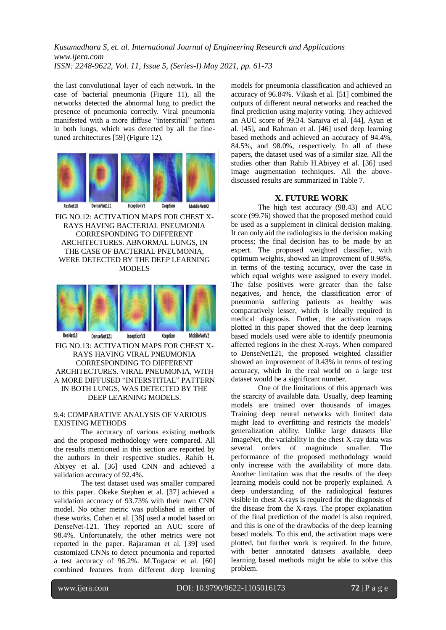the last convolutional layer of each network. In the case of bacterial pneumonia (Figure 11), all the networks detected the abnormal lung to predict the presence of pneumonia correctly. Viral pneumonia manifested with a more diffuse "interstitial" pattern in both lungs, which was detected by all the finetuned architectures [59] (Figure 12).



FIG NO.12: ACTIVATION MAPS FOR CHEST X-RAYS HAVING BACTERIAL PNEUMONIA CORRESPONDING TO DIFFERENT ARCHITECTURES. ABNORMAL LUNGS, IN THE CASE OF BACTERIAL PNEUMONIA, WERE DETECTED BY THE DEEP LEARNING MODELS



MobileNetV2 ResNet18 DenseNet121 InceptionV3 **Xception** 

FIG NO.13: ACTIVATION MAPS FOR CHEST X-RAYS HAVING VIRAL PNEUMONIA CORRESPONDING TO DIFFERENT ARCHITECTURES. VIRAL PNEUMONIA, WITH A MORE DIFFUSED "INTERSTITIAL" PATTERN IN BOTH LUNGS, WAS DETECTED BY THE DEEP LEARNING MODELS.

### 9.4: COMPARATIVE ANALYSIS OF VARIOUS EXISTING METHODS

The accuracy of various existing methods and the proposed methodology were compared. All the results mentioned in this section are reported by the authors in their respective studies. Rahib H. Abiyey et al. [36] used CNN and achieved a validation accuracy of 92.4%.

The test dataset used was smaller compared to this paper. Okeke Stephen et al. [37] achieved a validation accuracy of 93.73% with their own CNN model. No other metric was published in either of these works. Cohen et al. [38] used a model based on DenseNet-121. They reported an AUC score of 98.4%. Unfortunately, the other metrics were not reported in the paper. Rajaraman et al. [39] used customized CNNs to detect pneumonia and reported a test accuracy of 96.2%. M.Togacar et al. [60] combined features from different deep learning

models for pneumonia classification and achieved an accuracy of 96.84%. Vikash et al. [51] combined the outputs of different neural networks and reached the final prediction using majority voting. They achieved an AUC score of 99.34. Saraiva et al. [44], Ayan et al. [45], and Rahman et al. [46] used deep learning based methods and achieved an accuracy of 94.4%, 84.5%, and 98.0%, respectively. In all of these papers, the dataset used was of a similar size. All the studies other than Rahib H.Abiyey et al. [36] used image augmentation techniques. All the abovediscussed results are summarized in Table 7.

# **X. FUTURE WORK**

The high test accuracy (98.43) and AUC score (99.76) showed that the proposed method could be used as a supplement in clinical decision making. It can only aid the radiologists in the decision making process; the final decision has to be made by an expert. The proposed weighted classifier, with optimum weights, showed an improvement of 0.98%, in terms of the testing accuracy, over the case in which equal weights were assigned to every model. The false positives were greater than the false negatives, and hence, the classification error of pneumonia suffering patients as healthy was comparatively lesser, which is ideally required in medical diagnosis. Further, the activation maps plotted in this paper showed that the deep learning based models used were able to identify pneumonia affected regions in the chest X-rays. When compared to DenseNet121, the proposed weighted classifier showed an improvement of 0.43% in terms of testing accuracy, which in the real world on a large test dataset would be a significant number.

One of the limitations of this approach was the scarcity of available data. Usually, deep learning models are trained over thousands of images. Training deep neural networks with limited data might lead to overfitting and restricts the models' generalization ability. Unlike large datasets like ImageNet, the variability in the chest X-ray data was several orders of magnitude smaller. The performance of the proposed methodology would only increase with the availability of more data. Another limitation was that the results of the deep learning models could not be properly explained. A deep understanding of the radiological features visible in chest X-rays is required for the diagnosis of the disease from the X-rays. The proper explanation of the final prediction of the model is also required, and this is one of the drawbacks of the deep learning based models. To this end, the activation maps were plotted, but further work is required. In the future, with better annotated datasets available, deep learning based methods might be able to solve this problem.